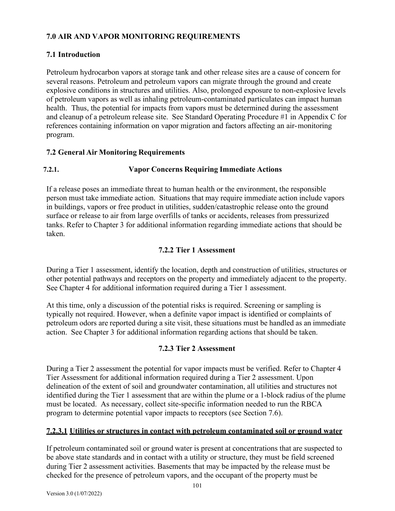## **7.0 AIR AND VAPOR MONITORING REQUIREMENTS**

## **7.1 Introduction**

Petroleum hydrocarbon vapors at storage tank and other release sites are a cause of concern for several reasons. Petroleum and petroleum vapors can migrate through the ground and create explosive conditions in structures and utilities. Also, prolonged exposure to non-explosive levels of petroleum vapors as well as inhaling petroleum-contaminated particulates can impact human health. Thus, the potential for impacts from vapors must be determined during the assessment and cleanup of a petroleum release site. See Standard Operating Procedure #1 in Appendix C for references containing information on vapor migration and factors affecting an air-monitoring program.

## **7.2 General Air Monitoring Requirements**

# **7.2.1. Vapor Concerns Requiring Immediate Actions**

If a release poses an immediate threat to human health or the environment, the responsible person must take immediate action. Situations that may require immediate action include vapors in buildings, vapors or free product in utilities, sudden/catastrophic release onto the ground surface or release to air from large overfills of tanks or accidents, releases from pressurized tanks. Refer to Chapter 3 for additional information regarding immediate actions that should be taken.

## **7.2.2 Tier 1 Assessment**

During a Tier 1 assessment, identify the location, depth and construction of utilities, structures or other potential pathways and receptors on the property and immediately adjacent to the property. See Chapter 4 for additional information required during a Tier 1 assessment.

At this time, only a discussion of the potential risks is required. Screening or sampling is typically not required. However, when a definite vapor impact is identified or complaints of petroleum odors are reported during a site visit, these situations must be handled as an immediate action. See Chapter 3 for additional information regarding actions that should be taken.

## **7.2.3 Tier 2 Assessment**

During a Tier 2 assessment the potential for vapor impacts must be verified. Refer to Chapter 4 Tier Assessment for additional information required during a Tier 2 assessment. Upon delineation of the extent of soil and groundwater contamination, all utilities and structures not identified during the Tier 1 assessment that are within the plume or a 1-block radius of the plume must be located. As necessary, collect site-specific information needed to run the RBCA program to determine potential vapor impacts to receptors (see Section 7.6).

## **7.2.3.1 Utilities or structures in contact with petroleum contaminated soil or ground water**

If petroleum contaminated soil or ground water is present at concentrations that are suspected to be above state standards and in contact with a utility or structure, they must be field screened during Tier 2 assessment activities. Basements that may be impacted by the release must be checked for the presence of petroleum vapors, and the occupant of the property must be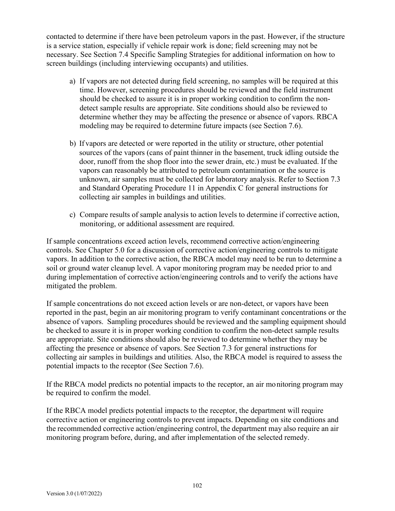contacted to determine if there have been petroleum vapors in the past. However, if the structure is a service station, especially if vehicle repair work is done; field screening may not be necessary. See Section 7.4 Specific Sampling Strategies for additional information on how to screen buildings (including interviewing occupants) and utilities.

- a) If vapors are not detected during field screening, no samples will be required at this time. However, screening procedures should be reviewed and the field instrument should be checked to assure it is in proper working condition to confirm the nondetect sample results are appropriate. Site conditions should also be reviewed to determine whether they may be affecting the presence or absence of vapors. RBCA modeling may be required to determine future impacts (see Section 7.6).
- b) If vapors are detected or were reported in the utility or structure, other potential sources of the vapors (cans of paint thinner in the basement, truck idling outside the door, runoff from the shop floor into the sewer drain, etc.) must be evaluated. If the vapors can reasonably be attributed to petroleum contamination or the source is unknown, air samples must be collected for laboratory analysis. Refer to Section 7.3 and Standard Operating Procedure 11 in Appendix C for general instructions for collecting air samples in buildings and utilities.
- c) Compare results of sample analysis to action levels to determine if corrective action, monitoring, or additional assessment are required.

If sample concentrations exceed action levels, recommend corrective action/engineering controls. See Chapter 5.0 for a discussion of corrective action/engineering controls to mitigate vapors. In addition to the corrective action, the RBCA model may need to be run to determine a soil or ground water cleanup level. A vapor monitoring program may be needed prior to and during implementation of corrective action/engineering controls and to verify the actions have mitigated the problem.

If sample concentrations do not exceed action levels or are non-detect, or vapors have been reported in the past, begin an air monitoring program to verify contaminant concentrations or the absence of vapors. Sampling procedures should be reviewed and the sampling equipment should be checked to assure it is in proper working condition to confirm the non-detect sample results are appropriate. Site conditions should also be reviewed to determine whether they may be affecting the presence or absence of vapors. See Section 7.3 for general instructions for collecting air samples in buildings and utilities. Also, the RBCA model is required to assess the potential impacts to the receptor (See Section 7.6).

If the RBCA model predicts no potential impacts to the receptor, an air monitoring program may be required to confirm the model.

If the RBCA model predicts potential impacts to the receptor, the department will require corrective action or engineering controls to prevent impacts. Depending on site conditions and the recommended corrective action/engineering control, the department may also require an air monitoring program before, during, and after implementation of the selected remedy.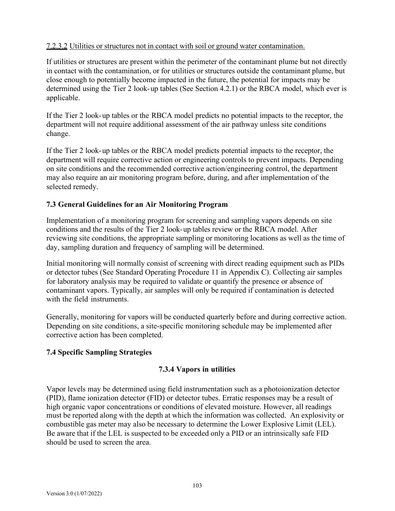## 7.2.3.2 Utilities or structures not in contact with soil or ground water contamination.

If utilities or structures are present within the perimeter of the contaminant plume but not directly in contact with the contamination, or for utilities or structures outside the contaminant plume, but close enough to potentially become impacted in the future, the potential for impacts may be determined using the Tier 2 look-up tables (See Section 4.2.1) or the RBCA model, which ever is applicable.

If the Tier 2 look-up tables or the RBCA model predicts no potential impacts to the receptor, the department will not require additional assessment of the air pathway unless site conditions change.

If the Tier 2 look-up tables or the RBCA model predicts potential impacts to the receptor, the department will require corrective action or engineering controls to prevent impacts. Depending on site conditions and the recommended corrective action/engineering control, the department may also require an air monitoring program before, during, and after implementation of the selected remedy.

## **7.3 General Guidelines for an Air Monitoring Program**

Implementation of a monitoring program for screening and sampling vapors depends on site conditions and the results of the Tier 2 look-up tables review or the RBCA model. After reviewing site conditions, the appropriate sampling or monitoring locations as well as the time of day, sampling duration and frequency of sampling will be determined.

Initial monitoring will normally consist of screening with direct reading equipment such as PIDs or detector tubes (See Standard Operating Procedure 11 in Appendix C). Collecting air samples for laboratory analysis may be required to validate or quantify the presence or absence of contaminant vapors. Typically, air samples will only be required if contamination is detected with the field instruments.

Generally, monitoring for vapors will be conducted quarterly before and during corrective action. Depending on site conditions, a site-specific monitoring schedule may be implemented after corrective action has been completed.

## **7.4 Specific Sampling Strategies**

## **7.3.4 Vapors in utilities**

Vapor levels may be determined using field instrumentation such as a photoionization detector (PID), flame ionization detector (FID) or detector tubes. Erratic responses may be a result of high organic vapor concentrations or conditions of elevated moisture. However, all readings must be reported along with the depth at which the information was collected. An explosivity or combustible gas meter may also be necessary to determine the Lower Explosive Limit (LEL). Be aware that if the LEL is suspected to be exceeded only a PID or an intrinsically safe FID should be used to screen the area.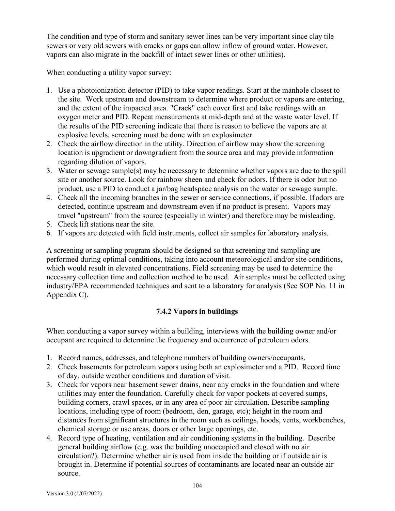The condition and type of storm and sanitary sewer lines can be very important since clay tile sewers or very old sewers with cracks or gaps can allow inflow of ground water. However, vapors can also migrate in the backfill of intact sewer lines or other utilities).

When conducting a utility vapor survey:

- 1. Use a photoionization detector (PID) to take vapor readings. Start at the manhole closest to the site. Work upstream and downstream to determine where product or vapors are entering, and the extent of the impacted area. "Crack" each cover first and take readings with an oxygen meter and PID. Repeat measurements at mid-depth and at the waste water level. If the results of the PID screening indicate that there is reason to believe the vapors are at explosive levels, screening must be done with an explosimeter.
- 2. Check the airflow direction in the utility. Direction of airflow may show the screening location is upgradient or downgradient from the source area and may provide information regarding dilution of vapors.
- 3. Water or sewage sample(s) may be necessary to determine whether vapors are due to the spill site or another source. Look for rainbow sheen and check for odors. If there is odor but no product, use a PID to conduct a jar/bag headspace analysis on the water or sewage sample.
- 4. Check all the incoming branches in the sewer or service connections, if possible. Ifodors are detected, continue upstream and downstream even if no product is present. Vapors may travel "upstream" from the source (especially in winter) and therefore may be misleading.
- 5. Check lift stations near the site.
- 6. If vapors are detected with field instruments, collect air samples for laboratory analysis.

A screening or sampling program should be designed so that screening and sampling are performed during optimal conditions, taking into account meteorological and/or site conditions, which would result in elevated concentrations. Field screening may be used to determine the necessary collection time and collection method to be used. Air samples must be collected using industry/EPA recommended techniques and sent to a laboratory for analysis (See SOP No. 11 in Appendix C).

## **7.4.2 Vapors in buildings**

When conducting a vapor survey within a building, interviews with the building owner and/or occupant are required to determine the frequency and occurrence of petroleum odors.

- 1. Record names, addresses, and telephone numbers of building owners/occupants.
- 2. Check basements for petroleum vapors using both an explosimeter and a PID. Record time of day, outside weather conditions and duration of visit.
- 3. Check for vapors near basement sewer drains, near any cracks in the foundation and where utilities may enter the foundation. Carefully check for vapor pockets at covered sumps, building corners, crawl spaces, or in any area of poor air circulation. Describe sampling locations, including type of room (bedroom, den, garage, etc); height in the room and distances from significant structures in the room such as ceilings, hoods, vents, workbenches, chemical storage or use areas, doors or other large openings, etc.
- 4. Record type of heating, ventilation and air conditioning systems in the building. Describe general building airflow (e.g. was the building unoccupied and closed with no air circulation?). Determine whether air is used from inside the building or if outside air is brought in. Determine if potential sources of contaminants are located near an outside air source.